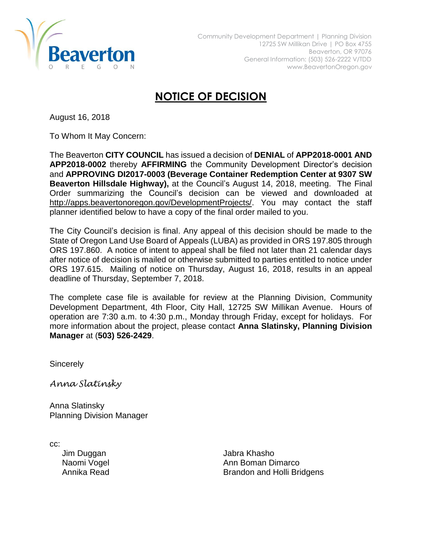

## **NOTICE OF DECISION**

August 16, 2018

To Whom It May Concern:

The Beaverton **CITY COUNCIL** has issued a decision of **DENIAL** of **APP2018-0001 AND APP2018-0002** thereby **AFFIRMING** the Community Development Director's decision and **APPROVING DI2017-0003 (Beverage Container Redemption Center at 9307 SW Beaverton Hillsdale Highway),** at the Council's August 14, 2018, meeting. The Final Order summarizing the Council's decision can be viewed and downloaded at [http://apps.beavertonoregon.gov/DevelopmentProjects/.](http://apps.beavertonoregon.gov/DevelopmentProjects/) You may contact the staff planner identified below to have a copy of the final order mailed to you.

The City Council's decision is final. Any appeal of this decision should be made to the State of Oregon Land Use Board of Appeals (LUBA) as provided in ORS 197.805 through ORS 197.860. A notice of intent to appeal shall be filed not later than 21 calendar days after notice of decision is mailed or otherwise submitted to parties entitled to notice under ORS 197.615. Mailing of notice on Thursday, August 16, 2018, results in an appeal deadline of Thursday, September 7, 2018.

The complete case file is available for review at the Planning Division, Community Development Department, 4th Floor, City Hall, 12725 SW Millikan Avenue. Hours of operation are 7:30 a.m. to 4:30 p.m., Monday through Friday, except for holidays. For more information about the project, please contact **Anna Slatinsky, Planning Division Manager** at (**503) 526-2429**.

**Sincerely** 

*Anna Slatinsky*

Anna Slatinsky Planning Division Manager

cc:

Jim Duggan Jabra Khasho Naomi Vogel **Ann Boman Dimarco** Annika Read **Brandon** and Holli Bridgens